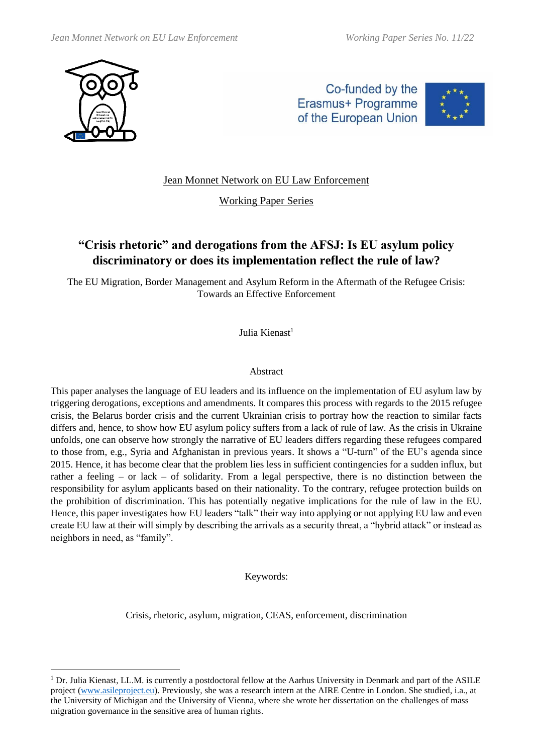

Co-funded by the Erasmus+ Programme of the European Union



# Jean Monnet Network on EU Law Enforcement

# Working Paper Series

# **"Crisis rhetoric" and derogations from the AFSJ: Is EU asylum policy discriminatory or does its implementation reflect the rule of law?**

The EU Migration, Border Management and Asylum Reform in the Aftermath of the Refugee Crisis: Towards an Effective Enforcement

Julia Kienast<sup>1</sup>

#### Abstract

This paper analyses the language of EU leaders and its influence on the implementation of EU asylum law by triggering derogations, exceptions and amendments. It compares this process with regards to the 2015 refugee crisis, the Belarus border crisis and the current Ukrainian crisis to portray how the reaction to similar facts differs and, hence, to show how EU asylum policy suffers from a lack of rule of law. As the crisis in Ukraine unfolds, one can observe how strongly the narrative of EU leaders differs regarding these refugees compared to those from, e.g., Syria and Afghanistan in previous years. It shows a "U-turn" of the EU's agenda since 2015. Hence, it has become clear that the problem lies less in sufficient contingencies for a sudden influx, but rather a feeling – or lack – of solidarity. From a legal perspective, there is no distinction between the responsibility for asylum applicants based on their nationality. To the contrary, refugee protection builds on the prohibition of discrimination. This has potentially negative implications for the rule of law in the EU. Hence, this paper investigates how EU leaders "talk" their way into applying or not applying EU law and even create EU law at their will simply by describing the arrivals as a security threat, a "hybrid attack" or instead as neighbors in need, as "family".

Keywords:

Crisis, rhetoric, asylum, migration, CEAS, enforcement, discrimination

 $1$  Dr. Julia Kienast, LL.M. is currently a postdoctoral fellow at the Aarhus University in Denmark and part of the ASILE project [\(www.asileproject.eu\)](http://www.asileproject.eu/). Previously, she was a research intern at the AIRE Centre in London. She studied, i.a., at the University of Michigan and the University of Vienna, where she wrote her dissertation on the challenges of mass migration governance in the sensitive area of human rights.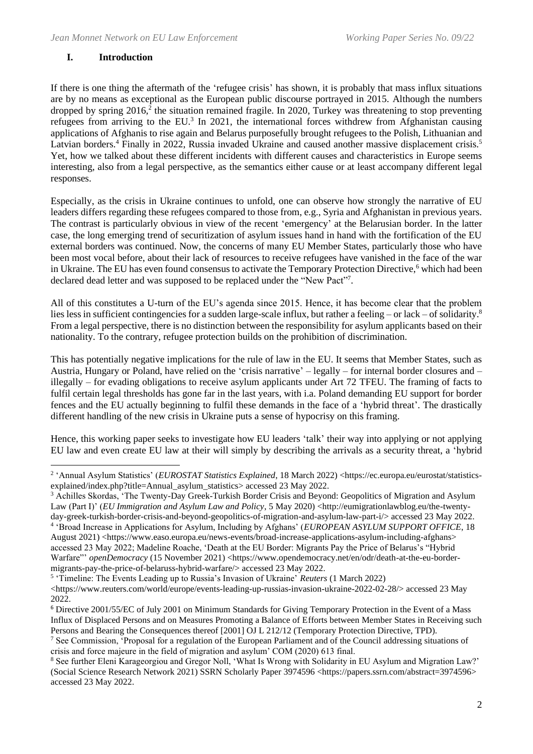## **I. Introduction**

If there is one thing the aftermath of the 'refugee crisis' has shown, it is probably that mass influx situations are by no means as exceptional as the European public discourse portrayed in 2015. Although the numbers dropped by spring 2016,<sup>2</sup> the situation remained fragile. In 2020, Turkey was threatening to stop preventing refugees from arriving to the EU.<sup>3</sup> In 2021, the international forces withdrew from Afghanistan causing applications of Afghanis to rise again and Belarus purposefully brought refugees to the Polish, Lithuanian and Latvian borders.<sup>4</sup> Finally in 2022, Russia invaded Ukraine and caused another massive displacement crisis.<sup>5</sup> Yet, how we talked about these different incidents with different causes and characteristics in Europe seems interesting, also from a legal perspective, as the semantics either cause or at least accompany different legal responses.

Especially, as the crisis in Ukraine continues to unfold, one can observe how strongly the narrative of EU leaders differs regarding these refugees compared to those from, e.g., Syria and Afghanistan in previous years. The contrast is particularly obvious in view of the recent 'emergency' at the Belarusian border. In the latter case, the long emerging trend of securitization of asylum issues hand in hand with the fortification of the EU external borders was continued. Now, the concerns of many EU Member States, particularly those who have been most vocal before, about their lack of resources to receive refugees have vanished in the face of the war in Ukraine. The EU has even found consensus to activate the Temporary Protection Directive,<sup>6</sup> which had been declared dead letter and was supposed to be replaced under the "New Pact"7.

All of this constitutes a U-turn of the EU's agenda since 2015. Hence, it has become clear that the problem lies less in sufficient contingencies for a sudden large-scale influx, but rather a feeling – or lack – of solidarity.<sup>8</sup> From a legal perspective, there is no distinction between the responsibility for asylum applicants based on their nationality. To the contrary, refugee protection builds on the prohibition of discrimination.

This has potentially negative implications for the rule of law in the EU. It seems that Member States, such as Austria, Hungary or Poland, have relied on the 'crisis narrative' – legally – for internal border closures and – illegally – for evading obligations to receive asylum applicants under Art 72 TFEU. The framing of facts to fulfil certain legal thresholds has gone far in the last years, with i.a. Poland demanding EU support for border fences and the EU actually beginning to fulfil these demands in the face of a 'hybrid threat'. The drastically different handling of the new crisis in Ukraine puts a sense of hypocrisy on this framing.

Hence, this working paper seeks to investigate how EU leaders 'talk' their way into applying or not applying EU law and even create EU law at their will simply by describing the arrivals as a security threat, a 'hybrid

4 'Broad Increase in Applications for Asylum, Including by Afghans' (*EUROPEAN ASYLUM SUPPORT OFFICE*, 18

<sup>&</sup>lt;sup>2</sup> 'Annual Asylum Statistics' (EUROSTAT Statistics Explained, 18 March 2022) <https://ec.europa.eu/eurostat/statisticsexplained/index.php?title=Annual\_asylum\_statistics> accessed 23 May 2022.

<sup>&</sup>lt;sup>3</sup> Achilles Skordas, 'The Twenty-Day Greek-Turkish Border Crisis and Beyond: Geopolitics of Migration and Asylum Law (Part I)' (*EU Immigration and Asylum Law and Policy*, 5 May 2020) <http://eumigrationlawblog.eu/the-twentyday-greek-turkish-border-crisis-and-beyond-geopolitics-of-migration-and-asylum-law-part-i/> accessed 23 May 2022.

August 2021) <https://www.easo.europa.eu/news-events/broad-increase-applications-asylum-including-afghans> accessed 23 May 2022; Madeline Roache, 'Death at the EU Border: Migrants Pay the Price of Belarus's "Hybrid Warfare" *openDemocracy* (15 November 2021) <https://www.opendemocracy.net/en/odr/death-at-the-eu-bordermigrants-pay-the-price-of-belaruss-hybrid-warfare/> accessed 23 May 2022.

<sup>5</sup> 'Timeline: The Events Leading up to Russia's Invasion of Ukraine' *Reuters* (1 March 2022)

 $\lt$ https://www.reuters.com/world/europe/events-leading-up-russias-invasion-ukraine-2022-02-28/> accessed 23 May 2022.

<sup>6</sup> Directive 2001/55/EC of July 2001 on Minimum Standards for Giving Temporary Protection in the Event of a Mass Influx of Displaced Persons and on Measures Promoting a Balance of Efforts between Member States in Receiving such Persons and Bearing the Consequences thereof [2001] OJ L 212/12 (Temporary Protection Directive, TPD).

<sup>7</sup> See Commission, 'Proposal for a regulation of the European Parliament and of the Council addressing situations of crisis and force majeure in the field of migration and asylum' COM (2020) 613 final.

<sup>8</sup> See further Eleni Karageorgiou and Gregor Noll, 'What Is Wrong with Solidarity in EU Asylum and Migration Law?' (Social Science Research Network 2021) SSRN Scholarly Paper 3974596 <https://papers.ssrn.com/abstract=3974596> accessed 23 May 2022.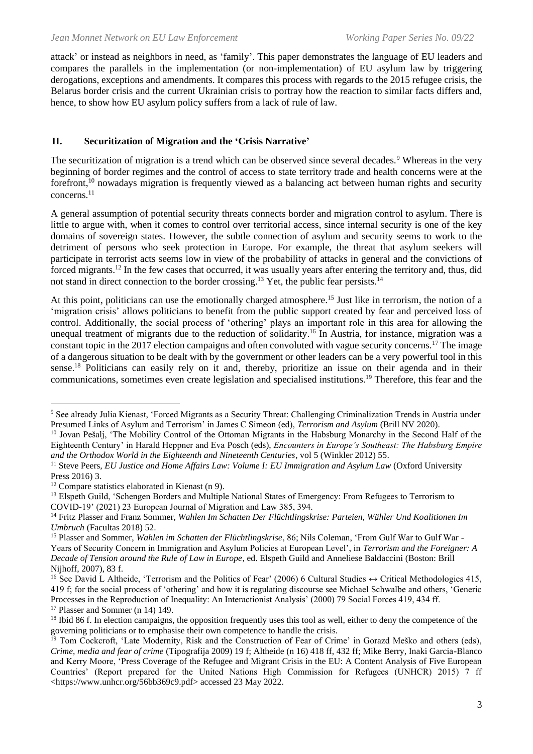attack' or instead as neighbors in need, as 'family'. This paper demonstrates the language of EU leaders and compares the parallels in the implementation (or non-implementation) of EU asylum law by triggering derogations, exceptions and amendments. It compares this process with regards to the 2015 refugee crisis, the Belarus border crisis and the current Ukrainian crisis to portray how the reaction to similar facts differs and, hence, to show how EU asylum policy suffers from a lack of rule of law.

#### **II. Securitization of Migration and the 'Crisis Narrative'**

The securitization of migration is a trend which can be observed since several decades.<sup>9</sup> Whereas in the very beginning of border regimes and the control of access to state territory trade and health concerns were at the forefront,<sup>10</sup> nowadays migration is frequently viewed as a balancing act between human rights and security concerns.<sup>11</sup>

A general assumption of potential security threats connects border and migration control to asylum. There is little to argue with, when it comes to control over territorial access, since internal security is one of the key domains of sovereign states. However, the subtle connection of asylum and security seems to work to the detriment of persons who seek protection in Europe. For example, the threat that asylum seekers will participate in terrorist acts seems low in view of the probability of attacks in general and the convictions of forced migrants.<sup>12</sup> In the few cases that occurred, it was usually years after entering the territory and, thus, did not stand in direct connection to the border crossing.<sup>13</sup> Yet, the public fear persists.<sup>14</sup>

At this point, politicians can use the emotionally charged atmosphere.<sup>15</sup> Just like in terrorism, the notion of a 'migration crisis' allows politicians to benefit from the public support created by fear and perceived loss of control. Additionally, the social process of 'othering' plays an important role in this area for allowing the unequal treatment of migrants due to the reduction of solidarity.<sup>16</sup> In Austria, for instance, migration was a constant topic in the 2017 election campaigns and often convoluted with vague security concerns.<sup>17</sup> The image of a dangerous situation to be dealt with by the government or other leaders can be a very powerful tool in this sense.<sup>18</sup> Politicians can easily rely on it and, thereby, prioritize an issue on their agenda and in their communications, sometimes even create legislation and specialised institutions.<sup>19</sup> Therefore, this fear and the

<sup>9</sup> See already Julia Kienast, 'Forced Migrants as a Security Threat: Challenging Criminalization Trends in Austria under Presumed Links of Asylum and Terrorism' in James C Simeon (ed), *Terrorism and Asylum* (Brill NV 2020).

<sup>&</sup>lt;sup>10</sup> Jovan Pešalj, 'The Mobility Control of the Ottoman Migrants in the Habsburg Monarchy in the Second Half of the Eighteenth Century' in Harald Heppner and Eva Posch (eds), *Encounters in Europe's Southeast: The Habsburg Empire and the Orthodox World in the Eighteenth and Nineteenth Centuries*, vol 5 (Winkler 2012) 55.

<sup>11</sup> Steve Peers, *EU Justice and Home Affairs Law: Volume I: EU Immigration and Asylum Law* (Oxford University Press 2016) 3.

 $12$  Compare statistics elaborated in Kienast (n 9).

<sup>&</sup>lt;sup>13</sup> Elspeth Guild, 'Schengen Borders and Multiple National States of Emergency: From Refugees to Terrorism to COVID-19' (2021) 23 European Journal of Migration and Law 385, 394.

<sup>14</sup> Fritz Plasser and Franz Sommer, *Wahlen Im Schatten Der Flüchtlingskrise: Parteien, Wähler Und Koalitionen Im Umbruch* (Facultas 2018) 52.

<sup>15</sup> Plasser and Sommer, *Wahlen im Schatten der Flüchtlingskrise*, 86; Nils Coleman, 'From Gulf War to Gulf War - Years of Security Concern in Immigration and Asylum Policies at European Level', in *Terrorism and the Foreigner: A Decade of Tension around the Rule of Law in Europe*, ed. Elspeth Guild and Anneliese Baldaccini (Boston: Brill Nijhoff, 2007), 83 f.

<sup>&</sup>lt;sup>16</sup> See David L Altheide, 'Terrorism and the Politics of Fear' (2006) 6 Cultural Studies ↔ Critical Methodologies 415, 419 f; for the social process of 'othering' and how it is regulating discourse see Michael Schwalbe and others, 'Generic Processes in the Reproduction of Inequality: An Interactionist Analysis' (2000) 79 Social Forces 419, 434 ff. <sup>17</sup> Plasser and Sommer (n 14) 149.

<sup>&</sup>lt;sup>18</sup> Ibid 86 f. In election campaigns, the opposition frequently uses this tool as well, either to deny the competence of the governing politicians or to emphasise their own competence to handle the crisis.

<sup>&</sup>lt;sup>19</sup> Tom Cockcroft, 'Late Modernity, Risk and the Construction of Fear of Crime' in Gorazd Meško and others (eds), *Crime, media and fear of crime* (Tipografija 2009) 19 f; Altheide (n 16) 418 ff, 432 ff; Mike Berry, Inaki Garcia-Blanco and Kerry Moore, 'Press Coverage of the Refugee and Migrant Crisis in the EU: A Content Analysis of Five European Countries' (Report prepared for the United Nations High Commission for Refugees (UNHCR) 2015) 7 ff <https://www.unhcr.org/56bb369c9.pdf> accessed 23 May 2022.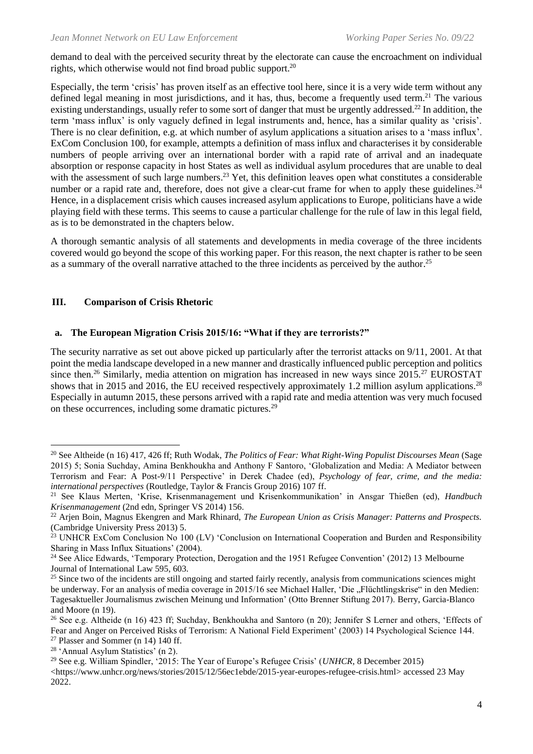demand to deal with the perceived security threat by the electorate can cause the encroachment on individual rights, which otherwise would not find broad public support. 20

Especially, the term 'crisis' has proven itself as an effective tool here, since it is a very wide term without any defined legal meaning in most jurisdictions, and it has, thus, become a frequently used term.<sup>21</sup> The various existing understandings, usually refer to some sort of danger that must be urgently addressed.<sup>22</sup> In addition, the term 'mass influx' is only vaguely defined in legal instruments and, hence, has a similar quality as 'crisis'. There is no clear definition, e.g. at which number of asylum applications a situation arises to a 'mass influx'. ExCom Conclusion 100, for example, attempts a definition of mass influx and characterises it by considerable numbers of people arriving over an international border with a rapid rate of arrival and an inadequate absorption or response capacity in host States as well as individual asylum procedures that are unable to deal with the assessment of such large numbers.<sup>23</sup> Yet, this definition leaves open what constitutes a considerable number or a rapid rate and, therefore, does not give a clear-cut frame for when to apply these guidelines.<sup>24</sup> Hence, in a displacement crisis which causes increased asylum applications to Europe, politicians have a wide playing field with these terms. This seems to cause a particular challenge for the rule of law in this legal field, as is to be demonstrated in the chapters below.

A thorough semantic analysis of all statements and developments in media coverage of the three incidents covered would go beyond the scope of this working paper. For this reason, the next chapter is rather to be seen as a summary of the overall narrative attached to the three incidents as perceived by the author.<sup>25</sup>

#### **III. Comparison of Crisis Rhetoric**

#### **a. The European Migration Crisis 2015/16: "What if they are terrorists?"**

The security narrative as set out above picked up particularly after the terrorist attacks on 9/11, 2001. At that point the media landscape developed in a new manner and drastically influenced public perception and politics since then.<sup>26</sup> Similarly, media attention on migration has increased in new ways since 2015.<sup>27</sup> EUROSTAT shows that in 2015 and 2016, the EU received respectively approximately 1.2 million asylum applications.<sup>28</sup> Especially in autumn 2015, these persons arrived with a rapid rate and media attention was very much focused on these occurrences, including some dramatic pictures.<sup>29</sup>

<sup>20</sup> See Altheide (n 16) 417, 426 ff; Ruth Wodak, *The Politics of Fear: What Right-Wing Populist Discourses Mean* (Sage 2015) 5; Sonia Suchday, Amina Benkhoukha and Anthony F Santoro, 'Globalization and Media: A Mediator between Terrorism and Fear: A Post-9/11 Perspective' in Derek Chadee (ed), *Psychology of fear, crime, and the media: international perspectives* (Routledge, Taylor & Francis Group 2016) 107 ff.

<sup>21</sup> See Klaus Merten, 'Krise, Krisenmanagement und Krisenkommunikation' in Ansgar Thießen (ed), *Handbuch Krisenmanagement* (2nd edn, Springer VS 2014) 156.

<sup>22</sup> Arjen Boin, Magnus Ekengren and Mark Rhinard, *The European Union as Crisis Manager: Patterns and Prospects.* (Cambridge University Press 2013) 5.

<sup>&</sup>lt;sup>23</sup> UNHCR ExCom Conclusion No 100 (LV) 'Conclusion on International Cooperation and Burden and Responsibility Sharing in Mass Influx Situations' (2004).

<sup>&</sup>lt;sup>24</sup> See Alice Edwards, 'Temporary Protection, Derogation and the 1951 Refugee Convention' (2012) 13 Melbourne Journal of International Law 595, 603.

 $25$  Since two of the incidents are still ongoing and started fairly recently, analysis from communications sciences might be underway. For an analysis of media coverage in 2015/16 see Michael Haller, 'Die "Flüchtlingskrise" in den Medien: Tagesaktueller Journalismus zwischen Meinung und Information' (Otto Brenner Stiftung 2017). Berry, Garcia-Blanco and Moore (n 19).

<sup>&</sup>lt;sup>26</sup> See e.g. Altheide (n 16) 423 ff; Suchday, Benkhoukha and Santoro (n 20); Jennifer S Lerner and others, 'Effects of Fear and Anger on Perceived Risks of Terrorism: A National Field Experiment' (2003) 14 Psychological Science 144.  $27$  Plasser and Sommer (n 14) 140 ff.

<sup>28</sup> 'Annual Asylum Statistics' (n 2).

<sup>29</sup> See e.g. William Spindler, '2015: The Year of Europe's Refugee Crisis' (*UNHCR*, 8 December 2015)

<sup>&</sup>lt;https://www.unhcr.org/news/stories/2015/12/56ec1ebde/2015-year-europes-refugee-crisis.html> accessed 23 May 2022.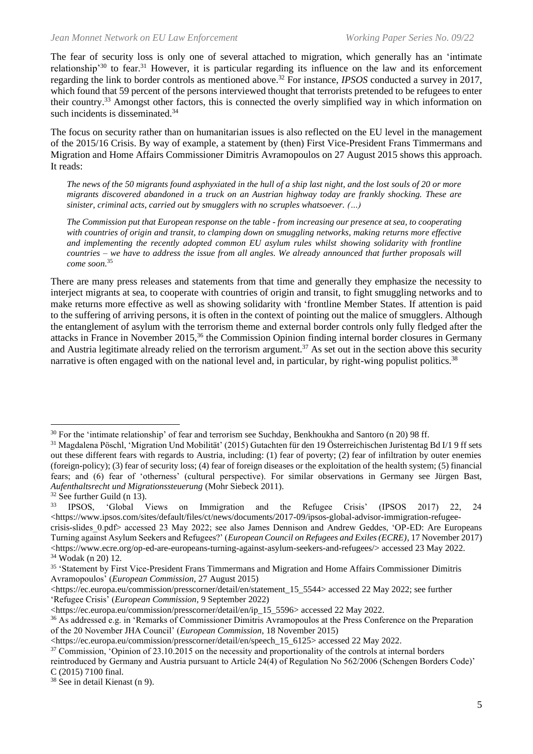The fear of security loss is only one of several attached to migration, which generally has an 'intimate relationship'<sup>30</sup> to fear.<sup>31</sup> However, it is particular regarding its influence on the law and its enforcement regarding the link to border controls as mentioned above.<sup>32</sup> For instance, *IPSOS* conducted a survey in 2017, which found that 59 percent of the persons interviewed thought that terrorists pretended to be refugees to enter their country.<sup>33</sup> Amongst other factors, this is connected the overly simplified way in which information on such incidents is disseminated.<sup>34</sup>

The focus on security rather than on humanitarian issues is also reflected on the EU level in the management of the 2015/16 Crisis. By way of example, a statement by (then) First Vice-President Frans Timmermans and Migration and Home Affairs Commissioner Dimitris Avramopoulos on 27 August 2015 shows this approach. It reads:

*The news of the 50 migrants found asphyxiated in the hull of a ship last night, and the lost souls of 20 or more migrants discovered abandoned in a truck on an Austrian highway today are frankly shocking. These are sinister, criminal acts, carried out by smugglers with no scruples whatsoever. (…)*

*The Commission put that European response on the table - from increasing our presence at sea, to cooperating with countries of origin and transit, to clamping down on smuggling networks, making returns more effective and implementing the recently adopted common EU asylum rules whilst showing solidarity with frontline countries – we have to address the issue from all angles. We already announced that further proposals will come soon.*<sup>35</sup>

There are many press releases and statements from that time and generally they emphasize the necessity to interject migrants at sea, to cooperate with countries of origin and transit, to fight smuggling networks and to make returns more effective as well as showing solidarity with 'frontline Member States. If attention is paid to the suffering of arriving persons, it is often in the context of pointing out the malice of smugglers. Although the entanglement of asylum with the terrorism theme and external border controls only fully fledged after the attacks in France in November 2015,<sup>36</sup> the Commission Opinion finding internal border closures in Germany and Austria legitimate already relied on the terrorism argument.<sup>37</sup> As set out in the section above this security narrative is often engaged with on the national level and, in particular, by right-wing populist politics.<sup>38</sup>

<sup>&</sup>lt;sup>30</sup> For the 'intimate relationship' of fear and terrorism see Suchday, Benkhoukha and Santoro (n 20) 98 ff.

<sup>31</sup> Magdalena Pöschl, 'Migration Und Mobilität' (2015) Gutachten für den 19 Österreichischen Juristentag Bd I/1 9 ff sets out these different fears with regards to Austria, including: (1) fear of poverty; (2) fear of infiltration by outer enemies (foreign-policy); (3) fear of security loss; (4) fear of foreign diseases or the exploitation of the health system; (5) financial fears; and (6) fear of 'otherness' (cultural perspective). For similar observations in Germany see Jürgen Bast, *Aufenthaltsrecht und Migrationssteuerung* (Mohr Siebeck 2011).

 $\frac{32}{33}$  See further Guild (n 13).<br> $\frac{33}{18}$  IPSOS  $\frac{1}{2}$  Global V

<sup>33</sup> IPSOS, 'Global Views on Immigration and the Refugee Crisis' (IPSOS 2017) 22, 24  $\langle$ https://www.ipsos.com/sites/default/files/ct/news/documents/2017-09/ipsos-global-advisor-immigration-refugeecrisis-slides\_0.pdf> accessed 23 May 2022; see also James Dennison and Andrew Geddes, 'OP-ED: Are Europeans Turning against Asylum Seekers and Refugees?' (*European Council on Refugees and Exiles (ECRE)*, 17 November 2017)  $\langle$ https://www.ecre.org/op-ed-are-europeans-turning-against-asylum-seekers-and-refugees/> accessed 23 May 2022. <sup>34</sup> Wodak (n 20) 12.

<sup>&</sup>lt;sup>35</sup> 'Statement by First Vice-President Frans Timmermans and Migration and Home Affairs Commissioner Dimitris Avramopoulos' (*European Commission*, 27 August 2015)

<sup>&</sup>lt;https://ec.europa.eu/commission/presscorner/detail/en/statement\_15\_5544> accessed 22 May 2022; see further 'Refugee Crisis' (*European Commission*, 9 September 2022)

<sup>&</sup>lt;https://ec.europa.eu/commission/presscorner/detail/en/ip\_15\_5596> accessed 22 May 2022.

<sup>&</sup>lt;sup>36</sup> As addressed e.g. in 'Remarks of Commissioner Dimitris Avramopoulos at the Press Conference on the Preparation of the 20 November JHA Council' (*European Commission*, 18 November 2015)

<sup>&</sup>lt;https://ec.europa.eu/commission/presscorner/detail/en/speech\_15\_6125> accessed 22 May 2022.

<sup>&</sup>lt;sup>37</sup> Commission, 'Opinion of 23.10.2015 on the necessity and proportionality of the controls at internal borders

reintroduced by Germany and Austria pursuant to Article 24(4) of Regulation No 562/2006 (Schengen Borders Code)' C (2015) 7100 final.

<sup>38</sup> See in detail Kienast (n 9).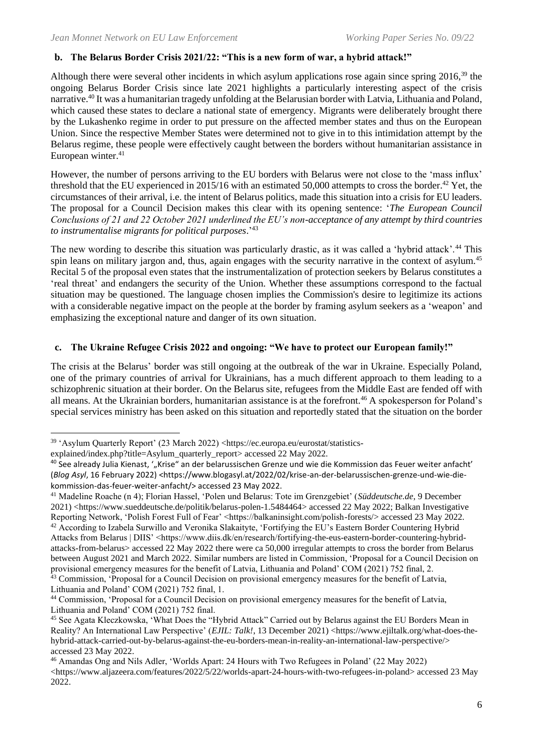#### **b. The Belarus Border Crisis 2021/22: "This is a new form of war, a hybrid attack!"**

Although there were several other incidents in which asylum applications rose again since spring 2016,<sup>39</sup> the ongoing Belarus Border Crisis since late 2021 highlights a particularly interesting aspect of the crisis narrative.<sup>40</sup> It was a humanitarian tragedy unfolding at the Belarusian border with Latvia, Lithuania and Poland, which caused these states to declare a national state of emergency. Migrants were deliberately brought there by the Lukashenko regime in order to put pressure on the affected member states and thus on the European Union. Since the respective Member States were determined not to give in to this intimidation attempt by the Belarus regime, these people were effectively caught between the borders without humanitarian assistance in European winter.<sup>41</sup>

However, the number of persons arriving to the EU borders with Belarus were not close to the 'mass influx' threshold that the EU experienced in 2015/16 with an estimated 50,000 attempts to cross the border.<sup>42</sup> Yet, the circumstances of their arrival, i.e. the intent of Belarus politics, made this situation into a crisis for EU leaders. The proposal for a Council Decision makes this clear with its opening sentence: '*The European Council Conclusions of 21 and 22 October 2021 underlined the EU's non-acceptance of any attempt by third countries to instrumentalise migrants for political purposes*.' 43

The new wording to describe this situation was particularly drastic, as it was called a 'hybrid attack'.<sup>44</sup> This spin leans on military jargon and, thus, again engages with the security narrative in the context of asylum.<sup>45</sup> Recital 5 of the proposal even states that the instrumentalization of protection seekers by Belarus constitutes a 'real threat' and endangers the security of the Union. Whether these assumptions correspond to the factual situation may be questioned. The language chosen implies the Commission's desire to legitimize its actions with a considerable negative impact on the people at the border by framing asylum seekers as a 'weapon' and emphasizing the exceptional nature and danger of its own situation.

#### **c. The Ukraine Refugee Crisis 2022 and ongoing: "We have to protect our European family!"**

The crisis at the Belarus' border was still ongoing at the outbreak of the war in Ukraine. Especially Poland, one of the primary countries of arrival for Ukrainians, has a much different approach to them leading to a schizophrenic situation at their border. On the Belarus site, refugees from the Middle East are fended off with all means. At the Ukrainian borders, humanitarian assistance is at the forefront.<sup>46</sup> A spokesperson for Poland's special services ministry has been asked on this situation and reportedly stated that the situation on the border

<sup>41</sup> Madeline Roache (n 4); Florian Hassel, 'Polen und Belarus: Tote im Grenzgebiet' (*Süddeutsche.de*, 9 December 2021) <https://www.sueddeutsche.de/politik/belarus-polen-1.5484464> accessed 22 May 2022; Balkan Investigative Reporting Network, 'Polish Forest Full of Fear' <https://balkaninsight.com/polish-forests/> accessed 23 May 2022. <sup>42</sup> According to Izabela Surwillo and Veronika Slakaityte, 'Fortifying the EU's Eastern Border Countering Hybrid Attacks from Belarus | DIIS' <https://www.diis.dk/en/research/fortifying-the-eus-eastern-border-countering-hybridattacks-from-belarus> accessed 22 May 2022 there were ca 50,000 irregular attempts to cross the border from Belarus between August 2021 and March 2022. Similar numbers are listed in Commission, 'Proposal for a Council Decision on provisional emergency measures for the benefit of Latvia, Lithuania and Poland' COM (2021) 752 final, 2. <sup>43</sup> Commission, 'Proposal for a Council Decision on provisional emergency measures for the benefit of Latvia,

<sup>39</sup> 'Asylum Quarterly Report' (23 March 2022) <https://ec.europa.eu/eurostat/statistics-

explained/index.php?title=Asylum\_quarterly\_report> accessed 22 May 2022.

 $40$  See already Julia Kienast, '"Krise" an der belarussischen Grenze und wie die Kommission das Feuer weiter anfacht' (*Blog Asyl*, 16 February 2022) <https://www.blogasyl.at/2022/02/krise-an-der-belarussischen-grenze-und-wie-diekommission-das-feuer-weiter-anfacht/> accessed 23 May 2022.

Lithuania and Poland' COM (2021) 752 final, 1. <sup>44</sup> Commission, 'Proposal for a Council Decision on provisional emergency measures for the benefit of Latvia, Lithuania and Poland' COM (2021) 752 final.

<sup>45</sup> See Agata Kleczkowska, 'What Does the "Hybrid Attack" Carried out by Belarus against the EU Borders Mean in Reality? An International Law Perspective' (*EJIL: Talk!*, 13 December 2021) <https://www.ejiltalk.org/what-does-thehybrid-attack-carried-out-by-belarus-against-the-eu-borders-mean-in-reality-an-international-law-perspective/> accessed 23 May 2022.

<sup>46</sup> Amandas Ong and Nils Adler, 'Worlds Apart: 24 Hours with Two Refugees in Poland' (22 May 2022) <https://www.aljazeera.com/features/2022/5/22/worlds-apart-24-hours-with-two-refugees-in-poland> accessed 23 May 2022.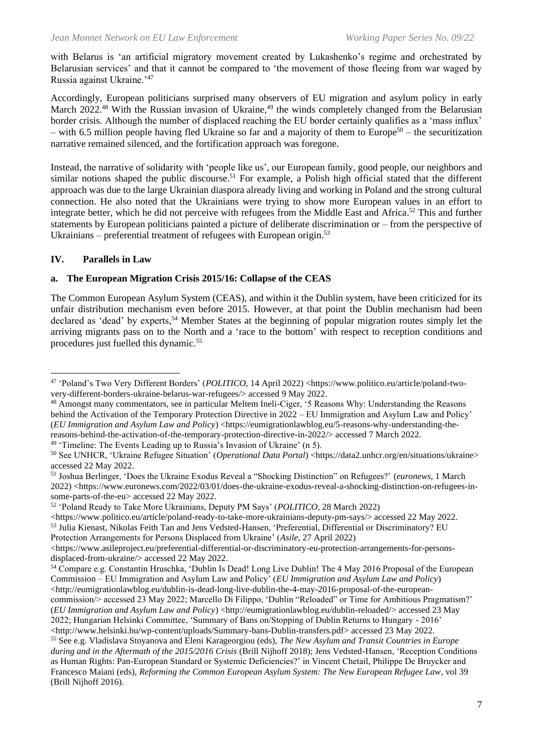with Belarus is 'an artificial migratory movement created by Lukashenko's regime and orchestrated by Belarusian services' and that it cannot be compared to 'the movement of those fleeing from war waged by Russia against Ukraine.'<sup>47</sup>

Accordingly, European politicians surprised many observers of EU migration and asylum policy in early March 2022.<sup>48</sup> With the Russian invasion of Ukraine,<sup>49</sup> the winds completely changed from the Belarusian border crisis. Although the number of displaced reaching the EU border certainly qualifies as a 'mass influx' – with 6.5 million people having fled Ukraine so far and a majority of them to Europe<sup>50</sup> – the securitization narrative remained silenced, and the fortification approach was foregone.

Instead, the narrative of solidarity with 'people like us', our European family, good people, our neighbors and similar notions shaped the public discourse.<sup>51</sup> For example, a Polish high official stated that the different approach was due to the large Ukrainian diaspora already living and working in Poland and the strong cultural connection. He also noted that the Ukrainians were trying to show more European values in an effort to integrate better, which he did not perceive with refugees from the Middle East and Africa. <sup>52</sup> This and further statements by European politicians painted a picture of deliberate discrimination or – from the perspective of Ukrainians – preferential treatment of refugees with European origin. $53$ 

#### **IV. Parallels in Law**

#### **a. The European Migration Crisis 2015/16: Collapse of the CEAS**

The Common European Asylum System (CEAS), and within it the Dublin system, have been criticized for its unfair distribution mechanism even before 2015. However, at that point the Dublin mechanism had been declared as 'dead' by experts, <sup>54</sup> Member States at the beginning of popular migration routes simply let the arriving migrants pass on to the North and a 'race to the bottom' with respect to reception conditions and procedures just fuelled this dynamic.<sup>55</sup>

<sup>49</sup> 'Timeline: The Events Leading up to Russia's Invasion of Ukraine' (n 5).

<sup>52</sup> 'Poland Ready to Take More Ukrainians, Deputy PM Says' (*POLITICO*, 28 March 2022)

<https://www.politico.eu/article/poland-ready-to-take-more-ukrainians-deputy-pm-says/> accessed 22 May 2022. <sup>53</sup> Julia Kienast, Nikolas Feith Tan and Jens Vedsted-Hansen, 'Preferential, Differential or Discriminatory? EU Protection Arrangements for Persons Displaced from Ukraine' (*Asile*, 27 April 2022)

<sup>47</sup> 'Poland's Two Very Different Borders' (*POLITICO*, 14 April 2022) <https://www.politico.eu/article/poland-twovery-different-borders-ukraine-belarus-war-refugees/> accessed 9 May 2022.

<sup>48</sup> Amongst many commentators, see in particular Meltem Ineli-Ciger, '5 Reasons Why: Understanding the Reasons behind the Activation of the Temporary Protection Directive in 2022 – EU Immigration and Asylum Law and Policy' (*EU Immigration and Asylum Law and Policy*) <https://eumigrationlawblog.eu/5-reasons-why-understanding-thereasons-behind-the-activation-of-the-temporary-protection-directive-in-2022/> accessed 7 March 2022.

<sup>50</sup> See UNHCR, 'Ukraine Refugee Situation' (*Operational Data Portal*) <https://data2.unhcr.org/en/situations/ukraine> accessed 22 May 2022.

<sup>51</sup> Joshua Berlinger, 'Does the Ukraine Exodus Reveal a "Shocking Distinction" on Refugees?' (*euronews*, 1 March 2022) <https://www.euronews.com/2022/03/01/does-the-ukraine-exodus-reveal-a-shocking-distinction-on-refugees-insome-parts-of-the-eu> accessed 22 May 2022.

 $\lt$ https://www.asileproject.eu/preferential-differential-or-discriminatory-eu-protection-arrangements-for-personsdisplaced-from-ukraine/> accessed 22 May 2022.

<sup>54</sup> Compare e.g. Constantin Hruschka, 'Dublin Is Dead! Long Live Dublin! The 4 May 2016 Proposal of the European Commission – EU Immigration and Asylum Law and Policy' (*EU Immigration and Asylum Law and Policy*) <http://eumigrationlawblog.eu/dublin-is-dead-long-live-dublin-the-4-may-2016-proposal-of-the-european-

commission/> accessed 23 May 2022; Marcello Di Filippo, 'Dublin "Reloaded" or Time for Ambitious Pragmatism?' (*EU Immigration and Asylum Law and Policy*) <http://eumigrationlawblog.eu/dublin-reloaded/> accessed 23 May 2022; Hungarian Helsinki Committee, 'Summary of Bans on/Stopping of Dublin Returns to Hungary - 2016'

<sup>&</sup>lt;http://www.helsinki.hu/wp-content/uploads/Summary-bans-Dublin-transfers.pdf> accessed 23 May 2022. <sup>55</sup> See e.g. Vladislava Stoyanova and Eleni Karageorgiou (eds), *The New Asylum and Transit Countries in Europe* 

*during and in the Aftermath of the 2015/2016 Crisis* (Brill Nijhoff 2018); Jens Vedsted-Hansen, 'Reception Conditions as Human Rights: Pan-European Standard or Systemic Deficiencies?' in Vincent Chetail, Philippe De Bruycker and Francesco Maiani (eds), *Reforming the Common European Asylum System: The New European Refugee Law*, vol 39 (Brill Nijhoff 2016).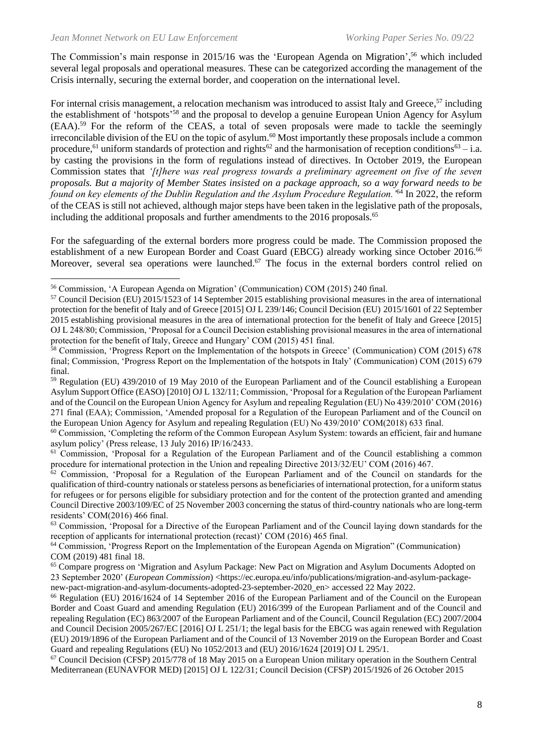The Commission's main response in 2015/16 was the 'European Agenda on Migration',<sup>56</sup> which included several legal proposals and operational measures. These can be categorized according the management of the Crisis internally, securing the external border, and cooperation on the international level.

For internal crisis management, a relocation mechanism was introduced to assist Italy and Greece,<sup>57</sup> including the establishment of 'hotspots'<sup>58</sup> and the proposal to develop a genuine European Union Agency for Asylum (EAA).<sup>59</sup> For the reform of the CEAS, a total of seven proposals were made to tackle the seemingly irreconcilable division of the EU on the topic of asylum.<sup>60</sup> Most importantly these proposals include a common procedure,<sup>61</sup> uniform standards of protection and rights<sup>62</sup> and the harmonisation of reception conditions<sup>63</sup> – i.a. by casting the provisions in the form of regulations instead of directives. In October 2019, the European Commission states that *'[t]here was real progress towards a preliminary agreement on five of the seven proposals. But a majority of Member States insisted on a package approach, so a way forward needs to be found on key elements of the Dublin Regulation and the Asylum Procedure Regulation.'*<sup>64</sup> In 2022, the reform of the CEAS is still not achieved, although major steps have been taken in the legislative path of the proposals, including the additional proposals and further amendments to the 2016 proposals.<sup>65</sup>

For the safeguarding of the external borders more progress could be made. The Commission proposed the establishment of a new European Border and Coast Guard (EBCG) already working since October 2016.<sup>66</sup> Moreover, several sea operations were launched.<sup>67</sup> The focus in the external borders control relied on

<sup>60</sup> Commission, 'Completing the reform of the Common European Asylum System: towards an efficient, fair and humane asylum policy' (Press release, 13 July 2016) IP/16/2433.

<sup>61</sup> Commission, 'Proposal for a Regulation of the European Parliament and of the Council establishing a common procedure for international protection in the Union and repealing Directive 2013/32/EU' COM (2016) 467.

<sup>62</sup> Commission, 'Proposal for a Regulation of the European Parliament and of the Council on standards for the qualification of third-country nationals or stateless persons as beneficiaries of international protection, for a uniform status for refugees or for persons eligible for subsidiary protection and for the content of the protection granted and amending Council Directive 2003/109/EC of 25 November 2003 concerning the status of third-country nationals who are long-term residents' COM(2016) 466 final.

<sup>63</sup> Commission, 'Proposal for a Directive of the European Parliament and of the Council laying down standards for the reception of applicants for international protection (recast)' COM (2016) 465 final.

<sup>64</sup> Commission, 'Progress Report on the Implementation of the European Agenda on Migration" (Communication) COM (2019) 481 final 18.

<sup>65</sup> Compare progress on 'Migration and Asylum Package: New Pact on Migration and Asylum Documents Adopted on 23 September 2020' (*European Commission*) <https://ec.europa.eu/info/publications/migration-and-asylum-packagenew-pact-migration-and-asylum-documents-adopted-23-september-2020\_en> accessed 22 May 2022.

<sup>66</sup> Regulation (EU) 2016/1624 of 14 September 2016 of the European Parliament and of the Council on the European Border and Coast Guard and amending Regulation (EU) 2016/399 of the European Parliament and of the Council and repealing Regulation (EC) 863/2007 of the European Parliament and of the Council, Council Regulation (EC) 2007/2004 and Council Decision 2005/267/EC [2016] OJ L 251/1; the legal basis for the EBCG was again renewed with Regulation (EU) 2019/1896 of the European Parliament and of the Council of 13 November 2019 on the European Border and Coast Guard and repealing Regulations (EU) No 1052/2013 and (EU) 2016/1624 [2019] OJ L 295/1.

<sup>67</sup> Council Decision (CFSP) 2015/778 of 18 May 2015 on a European Union military operation in the Southern Central Mediterranean (EUNAVFOR MED) [2015] OJ L 122/31; Council Decision (CFSP) 2015/1926 of 26 October 2015

<sup>56</sup> Commission, 'A European Agenda on Migration' (Communication) COM (2015) 240 final.

<sup>57</sup> Council Decision (EU) 2015/1523 of 14 September 2015 establishing provisional measures in the area of international protection for the benefit of Italy and of Greece [2015] OJ L 239/146; Council Decision (EU) 2015/1601 of 22 September 2015 establishing provisional measures in the area of international protection for the benefit of Italy and Greece [2015] OJ L 248/80; Commission, 'Proposal for a Council Decision establishing provisional measures in the area of international protection for the benefit of Italy, Greece and Hungary' COM (2015) 451 final.

<sup>&</sup>lt;sup>58</sup> Commission, 'Progress Report on the Implementation of the hotspots in Greece' (Communication) COM (2015) 678 final; Commission, 'Progress Report on the Implementation of the hotspots in Italy' (Communication) COM (2015) 679 final.

<sup>59</sup> Regulation (EU) 439/2010 of 19 May 2010 of the European Parliament and of the Council establishing a European Asylum Support Office (EASO) [2010] OJ L 132/11; Commission, 'Proposal for a Regulation of the European Parliament and of the Council on the European Union Agency for Asylum and repealing Regulation (EU) No 439/2010' COM (2016) 271 final (EAA); Commission, 'Amended proposal for a Regulation of the European Parliament and of the Council on the European Union Agency for Asylum and repealing Regulation (EU) No 439/2010' COM(2018) 633 final.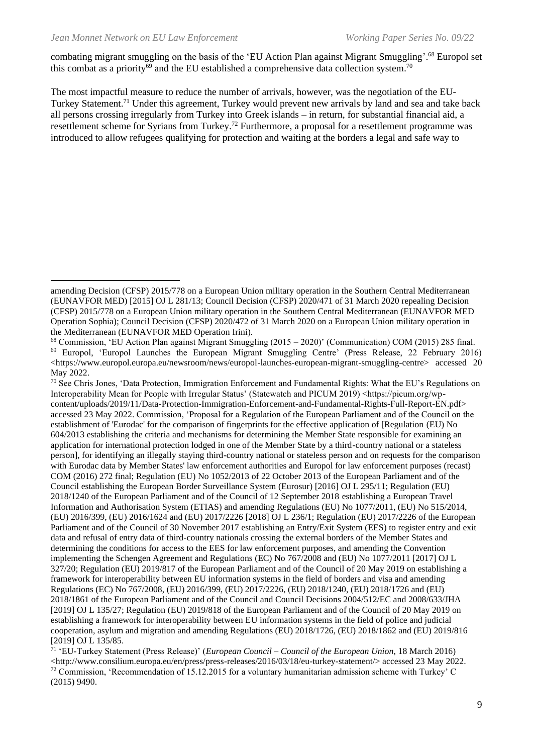combating migrant smuggling on the basis of the 'EU Action Plan against Migrant Smuggling'. <sup>68</sup> Europol set this combat as a priority<sup>69</sup> and the EU established a comprehensive data collection system.<sup>70</sup>

The most impactful measure to reduce the number of arrivals, however, was the negotiation of the EU-Turkey Statement.<sup>71</sup> Under this agreement, Turkey would prevent new arrivals by land and sea and take back all persons crossing irregularly from Turkey into Greek islands – in return, for substantial financial aid, a resettlement scheme for Syrians from Turkey.<sup>72</sup> Furthermore, a proposal for a resettlement programme was introduced to allow refugees qualifying for protection and waiting at the borders a legal and safe way to

 $70$  See Chris Jones, 'Data Protection, Immigration Enforcement and Fundamental Rights: What the EU's Regulations on Interoperability Mean for People with Irregular Status' (Statewatch and PICUM 2019) <https://picum.org/wpcontent/uploads/2019/11/Data-Protection-Immigration-Enforcement-and-Fundamental-Rights-Full-Report-EN.pdf> accessed 23 May 2022. Commission, 'Proposal for a Regulation of the European Parliament and of the Council on the establishment of 'Eurodac' for the comparison of fingerprints for the effective application of [Regulation (EU) No 604/2013 establishing the criteria and mechanisms for determining the Member State responsible for examining an application for international protection lodged in one of the Member State by a third-country national or a stateless person], for identifying an illegally staying third-country national or stateless person and on requests for the comparison with Eurodac data by Member States' law enforcement authorities and Europol for law enforcement purposes (recast) COM (2016) 272 final; Regulation (EU) No 1052/2013 of 22 October 2013 of the European Parliament and of the Council establishing the European Border Surveillance System (Eurosur) [2016] OJ L 295/11; Regulation (EU) 2018/1240 of the European Parliament and of the Council of 12 September 2018 establishing a European Travel Information and Authorisation System (ETIAS) and amending Regulations (EU) No 1077/2011, (EU) No 515/2014, (EU) 2016/399, (EU) 2016/1624 and (EU) 2017/2226 [2018] OJ L 236/1; Regulation (EU) 2017/2226 of the European Parliament and of the Council of 30 November 2017 establishing an Entry/Exit System (EES) to register entry and exit data and refusal of entry data of third-country nationals crossing the external borders of the Member States and determining the conditions for access to the EES for law enforcement purposes, and amending the Convention implementing the Schengen Agreement and Regulations (EC) No 767/2008 and (EU) No 1077/2011 [2017] OJ L 327/20; Regulation (EU) 2019/817 of the European Parliament and of the Council of 20 May 2019 on establishing a framework for interoperability between EU information systems in the field of borders and visa and amending Regulations (EC) No 767/2008, (EU) 2016/399, (EU) 2017/2226, (EU) 2018/1240, (EU) 2018/1726 and (EU) 2018/1861 of the European Parliament and of the Council and Council Decisions 2004/512/EC and 2008/633/JHA [2019] OJ L 135/27; Regulation (EU) 2019/818 of the European Parliament and of the Council of 20 May 2019 on establishing a framework for interoperability between EU information systems in the field of police and judicial cooperation, asylum and migration and amending Regulations (EU) 2018/1726, (EU) 2018/1862 and (EU) 2019/816 [2019] OJ L 135/85.

amending Decision (CFSP) 2015/778 on a European Union military operation in the Southern Central Mediterranean (EUNAVFOR MED) [2015] OJ L 281/13; Council Decision (CFSP) 2020/471 of 31 March 2020 repealing Decision (CFSP) 2015/778 on a European Union military operation in the Southern Central Mediterranean (EUNAVFOR MED Operation Sophia); Council Decision (CFSP) 2020/472 of 31 March 2020 on a European Union military operation in the Mediterranean (EUNAVFOR MED Operation Irini).

<sup>68</sup> Commission, 'EU Action Plan against Migrant Smuggling (2015 – 2020)' (Communication) COM (2015) 285 final. <sup>69</sup> Europol, 'Europol Launches the European Migrant Smuggling Centre' (Press Release, 22 February 2016) <https://www.europol.europa.eu/newsroom/news/europol-launches-european-migrant-smuggling-centre> accessed 20 May 2022.

<sup>71</sup> 'EU-Turkey Statement (Press Release)' (*European Council – Council of the European Union*, 18 March 2016)  $\langle$ http://www.consilium.europa.eu/en/press/press-releases/2016/03/18/eu-turkey-statement/> accessed 23 May 2022.  $72$  Commission, 'Recommendation of 15.12.2015 for a voluntary humanitarian admission scheme with Turkey' C (2015) 9490.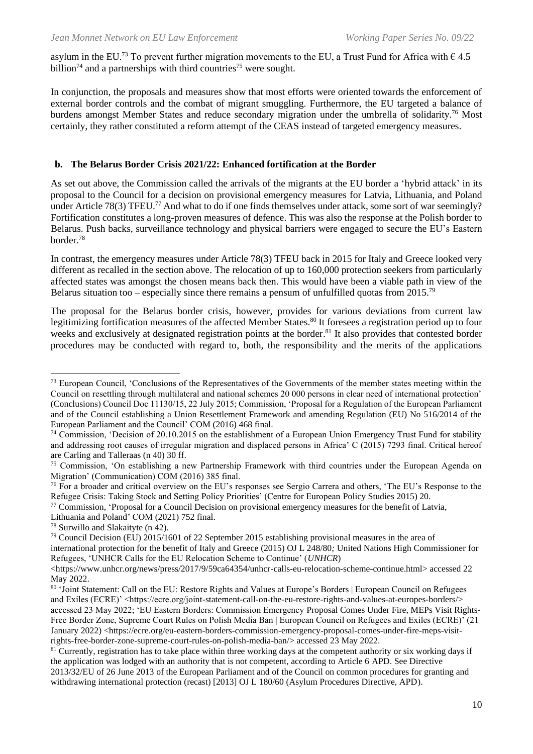asylum in the EU.<sup>73</sup> To prevent further migration movements to the EU, a Trust Fund for Africa with  $\epsilon$  4.5 billion<sup>74</sup> and a partnerships with third countries<sup>75</sup> were sought.

In conjunction, the proposals and measures show that most efforts were oriented towards the enforcement of external border controls and the combat of migrant smuggling. Furthermore, the EU targeted a balance of burdens amongst Member States and reduce secondary migration under the umbrella of solidarity.<sup>76</sup> Most certainly, they rather constituted a reform attempt of the CEAS instead of targeted emergency measures.

#### **b. The Belarus Border Crisis 2021/22: Enhanced fortification at the Border**

As set out above, the Commission called the arrivals of the migrants at the EU border a 'hybrid attack' in its proposal to the Council for a decision on provisional emergency measures for Latvia, Lithuania, and Poland under Article 78(3) TFEU.<sup>77</sup> And what to do if one finds themselves under attack, some sort of war seemingly? Fortification constitutes a long-proven measures of defence. This was also the response at the Polish border to Belarus. Push backs, surveillance technology and physical barriers were engaged to secure the EU's Eastern border. 78

In contrast, the emergency measures under Article 78(3) TFEU back in 2015 for Italy and Greece looked very different as recalled in the section above. The relocation of up to 160,000 protection seekers from particularly affected states was amongst the chosen means back then. This would have been a viable path in view of the Belarus situation too – especially since there remains a pensum of unfulfilled quotas from 2015.<sup>79</sup>

The proposal for the Belarus border crisis, however, provides for various deviations from current law legitimizing fortification measures of the affected Member States.<sup>80</sup> It foresees a registration period up to four weeks and exclusively at designated registration points at the border.<sup>81</sup> It also provides that contested border procedures may be conducted with regard to, both, the responsibility and the merits of the applications

<sup>77</sup> Commission, 'Proposal for a Council Decision on provisional emergency measures for the benefit of Latvia,

<sup>&</sup>lt;sup>73</sup> European Council, 'Conclusions of the Representatives of the Governments of the member states meeting within the Council on resettling through multilateral and national schemes 20 000 persons in clear need of international protection' (Conclusions) Council Doc 11130/15, 22 July 2015; Commission, 'Proposal for a Regulation of the European Parliament and of the Council establishing a Union Resettlement Framework and amending Regulation (EU) No 516/2014 of the European Parliament and the Council' COM (2016) 468 final.

 $74$  Commission, 'Decision of 20.10.2015 on the establishment of a European Union Emergency Trust Fund for stability and addressing root causes of irregular migration and displaced persons in Africa' C (2015) 7293 final. Critical hereof are Carling and Talleraas (n 40) 30 ff.

<sup>75</sup> Commission, 'On establishing a new Partnership Framework with third countries under the European Agenda on Migration' (Communication) COM (2016) 385 final.

<sup>&</sup>lt;sup>76</sup> For a broader and critical overview on the EU's responses see Sergio Carrera and others, 'The EU's Response to the Refugee Crisis: Taking Stock and Setting Policy Priorities' (Centre for European Policy Studies 2015) 20.

Lithuania and Poland' COM (2021) 752 final.

<sup>78</sup> Surwillo and Slakaityte (n 42).

<sup>79</sup> Council Decision (EU) 2015/1601 of 22 September 2015 establishing provisional measures in the area of international protection for the benefit of Italy and Greece (2015) OJ L 248/80*;* United Nations High Commissioner for Refugees, 'UNHCR Calls for the EU Relocation Scheme to Continue' (*UNHCR*)

<sup>&</sup>lt;https://www.unhcr.org/news/press/2017/9/59ca64354/unhcr-calls-eu-relocation-scheme-continue.html> accessed 22 May 2022.

<sup>80 &#</sup>x27;Joint Statement: Call on the EU: Restore Rights and Values at Europe's Borders | European Council on Refugees and Exiles (ECRE)' <https://ecre.org/joint-statement-call-on-the-eu-restore-rights-and-values-at-europes-borders/> accessed 23 May 2022; 'EU Eastern Borders: Commission Emergency Proposal Comes Under Fire, MEPs Visit Rights-Free Border Zone, Supreme Court Rules on Polish Media Ban | European Council on Refugees and Exiles (ECRE)' (21 January 2022) <https://ecre.org/eu-eastern-borders-commission-emergency-proposal-comes-under-fire-meps-visitrights-free-border-zone-supreme-court-rules-on-polish-media-ban/> accessed 23 May 2022.

 $81$  Currently, registration has to take place within three working days at the competent authority or six working days if the application was lodged with an authority that is not competent, according to Article 6 APD. See Directive 2013/32/EU of 26 June 2013 of the European Parliament and of the Council on common procedures for granting and withdrawing international protection (recast) [2013] OJ L 180/60 (Asylum Procedures Directive, APD).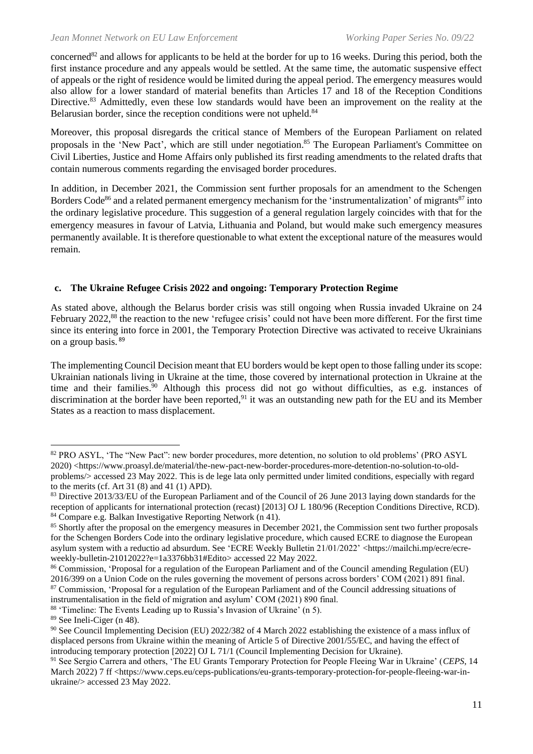concerned<sup>82</sup> and allows for applicants to be held at the border for up to 16 weeks. During this period, both the first instance procedure and any appeals would be settled. At the same time, the automatic suspensive effect of appeals or the right of residence would be limited during the appeal period. The emergency measures would also allow for a lower standard of material benefits than Articles 17 and 18 of the Reception Conditions Directive.<sup>83</sup> Admittedly, even these low standards would have been an improvement on the reality at the Belarusian border, since the reception conditions were not upheld.<sup>84</sup>

Moreover, this proposal disregards the critical stance of Members of the European Parliament on related proposals in the 'New Pact', which are still under negotiation.<sup>85</sup> The European Parliament's Committee on Civil Liberties, Justice and Home Affairs only published its first reading amendments to the related drafts that contain numerous comments regarding the envisaged border procedures.

In addition, in December 2021, the Commission sent further proposals for an amendment to the Schengen Borders Code<sup>86</sup> and a related permanent emergency mechanism for the 'instrumentalization' of migrants<sup>87</sup> into the ordinary legislative procedure. This suggestion of a general regulation largely coincides with that for the emergency measures in favour of Latvia, Lithuania and Poland, but would make such emergency measures permanently available. It is therefore questionable to what extent the exceptional nature of the measures would remain.

## **c. The Ukraine Refugee Crisis 2022 and ongoing: Temporary Protection Regime**

As stated above, although the Belarus border crisis was still ongoing when Russia invaded Ukraine on 24 February 2022,<sup>88</sup> the reaction to the new 'refugee crisis' could not have been more different. For the first time since its entering into force in 2001, the Temporary Protection Directive was activated to receive Ukrainians on a group basis. <sup>89</sup>

The implementing Council Decision meant that EU borders would be kept open to those falling under its scope: Ukrainian nationals living in Ukraine at the time, those covered by international protection in Ukraine at the time and their families.<sup>90</sup> Although this process did not go without difficulties, as e.g. instances of discrimination at the border have been reported,<sup>91</sup> it was an outstanding new path for the EU and its Member States as a reaction to mass displacement.

instrumentalisation in the field of migration and asylum' COM (2021) 890 final.

<sup>&</sup>lt;sup>82</sup> PRO ASYL, 'The "New Pact": new border procedures, more detention, no solution to old problems' (PRO ASYL 2020) <https://www.proasyl.de/material/the-new-pact-new-border-procedures-more-detention-no-solution-to-oldproblems/> accessed 23 May 2022. This is de lege lata only permitted under limited conditions, especially with regard to the merits (cf. Art 31 $(8)$  and 41 $(1)$  APD).

<sup>83</sup> Directive 2013/33/EU of the European Parliament and of the Council of 26 June 2013 laying down standards for the reception of applicants for international protection (recast) [2013] OJ L 180/96 (Reception Conditions Directive, RCD). <sup>84</sup> Compare e.g. Balkan Investigative Reporting Network (n 41).

<sup>&</sup>lt;sup>85</sup> Shortly after the proposal on the emergency measures in December 2021, the Commission sent two further proposals for the Schengen Borders Code into the ordinary legislative procedure, which caused ECRE to diagnose the European asylum system with a reductio ad absurdum. See 'ECRE Weekly Bulletin 21/01/2022' <https://mailchi.mp/ecre/ecreweekly-bulletin-21012022?e=1a3376bb31#Edito> accessed 22 May 2022.

<sup>86</sup> Commission, 'Proposal for a regulation of the European Parliament and of the Council amending Regulation (EU) 2016/399 on a Union Code on the rules governing the movement of persons across borders' COM (2021) 891 final. <sup>87</sup> Commission, 'Proposal for a regulation of the European Parliament and of the Council addressing situations of

<sup>88</sup> 'Timeline: The Events Leading up to Russia's Invasion of Ukraine' (n 5).

<sup>89</sup> See Ineli-Ciger (n 48).

<sup>90</sup> See Council Implementing Decision (EU) 2022/382 of 4 March 2022 establishing the existence of a mass influx of displaced persons from Ukraine within the meaning of Article 5 of Directive 2001/55/EC, and having the effect of introducing temporary protection [2022] OJ L 71/1 (Council Implementing Decision for Ukraine).

<sup>91</sup> See Sergio Carrera and others, 'The EU Grants Temporary Protection for People Fleeing War in Ukraine' (*CEPS*, 14 March 2022) 7 ff <https://www.ceps.eu/ceps-publications/eu-grants-temporary-protection-for-people-fleeing-war-inukraine/> accessed 23 May 2022.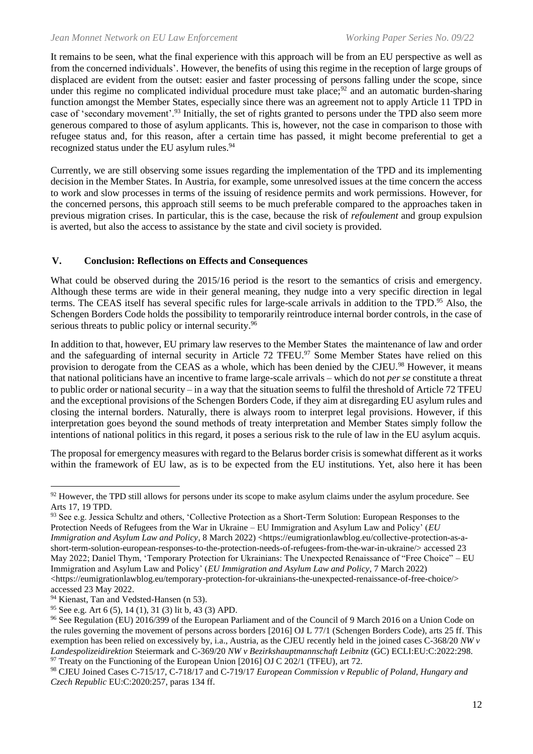It remains to be seen, what the final experience with this approach will be from an EU perspective as well as from the concerned individuals'. However, the benefits of using this regime in the reception of large groups of displaced are evident from the outset: easier and faster processing of persons falling under the scope, since under this regime no complicated individual procedure must take place;<sup>92</sup> and an automatic burden-sharing function amongst the Member States, especially since there was an agreement not to apply Article 11 TPD in case of 'secondary movement'.<sup>93</sup> Initially, the set of rights granted to persons under the TPD also seem more generous compared to those of asylum applicants. This is, however, not the case in comparison to those with refugee status and, for this reason, after a certain time has passed, it might become preferential to get a recognized status under the EU asylum rules.<sup>94</sup>

Currently, we are still observing some issues regarding the implementation of the TPD and its implementing decision in the Member States. In Austria, for example, some unresolved issues at the time concern the access to work and slow processes in terms of the issuing of residence permits and work permissions. However, for the concerned persons, this approach still seems to be much preferable compared to the approaches taken in previous migration crises. In particular, this is the case, because the risk of *refoulement* and group expulsion is averted, but also the access to assistance by the state and civil society is provided.

## **V. Conclusion: Reflections on Effects and Consequences**

What could be observed during the 2015/16 period is the resort to the semantics of crisis and emergency. Although these terms are wide in their general meaning, they nudge into a very specific direction in legal terms. The CEAS itself has several specific rules for large-scale arrivals in addition to the TPD. <sup>95</sup> Also, the Schengen Borders Code holds the possibility to temporarily reintroduce internal border controls, in the case of serious threats to public policy or internal security.<sup>96</sup>

In addition to that, however, EU primary law reserves to the Member States the maintenance of law and order and the safeguarding of internal security in Article 72 TFEU.<sup>97</sup> Some Member States have relied on this provision to derogate from the CEAS as a whole, which has been denied by the CJEU.<sup>98</sup> However, it means that national politicians have an incentive to frame large-scale arrivals – which do not *per se* constitute a threat to public order or national security – in a way that the situation seems to fulfil the threshold of Article 72 TFEU and the exceptional provisions of the Schengen Borders Code, if they aim at disregarding EU asylum rules and closing the internal borders. Naturally, there is always room to interpret legal provisions. However, if this interpretation goes beyond the sound methods of treaty interpretation and Member States simply follow the intentions of national politics in this regard, it poses a serious risk to the rule of law in the EU asylum acquis.

The proposal for emergency measures with regard to the Belarus border crisis is somewhat different as it works within the framework of EU law, as is to be expected from the EU institutions. Yet, also here it has been

<sup>&</sup>lt;sup>92</sup> However, the TPD still allows for persons under its scope to make asylum claims under the asylum procedure. See Arts 17, 19 TPD.

<sup>93</sup> See e.g. Jessica Schultz and others, 'Collective Protection as a Short-Term Solution: European Responses to the Protection Needs of Refugees from the War in Ukraine – EU Immigration and Asylum Law and Policy' (*EU Immigration and Asylum Law and Policy*, 8 March 2022) <https://eumigrationlawblog.eu/collective-protection-as-ashort-term-solution-european-responses-to-the-protection-needs-of-refugees-from-the-war-in-ukraine/> accessed 23 May 2022; Daniel Thym, 'Temporary Protection for Ukrainians: The Unexpected Renaissance of "Free Choice" – EU Immigration and Asylum Law and Policy' (*EU Immigration and Asylum Law and Policy*, 7 March 2022) <https://eumigrationlawblog.eu/temporary-protection-for-ukrainians-the-unexpected-renaissance-of-free-choice/> accessed 23 May 2022.

<sup>&</sup>lt;sup>94</sup> Kienast, Tan and Vedsted-Hansen (n 53).

<sup>&</sup>lt;sup>95</sup> See e.g. Art 6 (5), 14 (1), 31 (3) lit b, 43 (3) APD.

<sup>&</sup>lt;sup>96</sup> See Regulation (EU) 2016/399 of the European Parliament and of the Council of 9 March 2016 on a Union Code on the rules governing the movement of persons across borders [2016] OJ L 77/1 (Schengen Borders Code), arts 25 ff. This exemption has been relied on excessively by, i.a., Austria, as the CJEU recently held in the joined cases C-368/20 *NW v Landespolizeidirektion* Steiermark and C-369/20 *NW v Bezirkshauptmannschaft Leibnitz* (GC) ECLI:EU:C:2022:298.  $97$  Treaty on the Functioning of the European Union [2016] OJ C 202/1 (TFEU), art 72.

<sup>98</sup> CJEU Joined Cases C-715/17, C-718/17 and C-719/17 *European Commission v Republic of Poland, Hungary and Czech Republic* EU:C:2020:257, paras 134 ff.